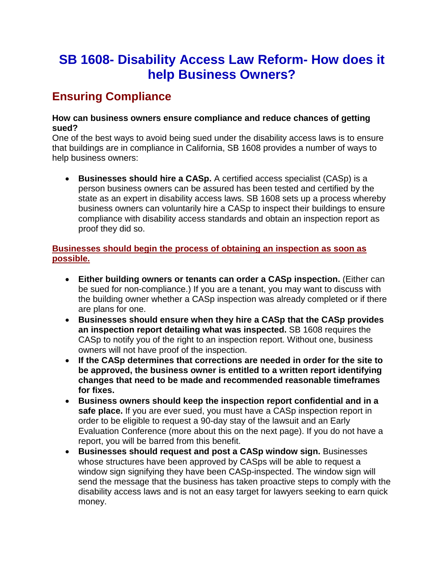# **SB 1608- Disability Access Law Reform- How does it help Business Owners?**

# **Ensuring Compliance**

#### **How can business owners ensure compliance and reduce chances of getting sued?**

One of the best ways to avoid being sued under the disability access laws is to ensure that buildings are in compliance in California, SB 1608 provides a number of ways to help business owners:

• **Businesses should hire a CASp.** A certified access specialist (CASp) is a person business owners can be assured has been tested and certified by the state as an expert in disability access laws. SB 1608 sets up a process whereby business owners can voluntarily hire a CASp to inspect their buildings to ensure compliance with disability access standards and obtain an inspection report as proof they did so.

### **Businesses should begin the process of obtaining an inspection as soon as possible.**

- **Either building owners or tenants can order a CASp inspection.** (Either can be sued for non-compliance.) If you are a tenant, you may want to discuss with the building owner whether a CASp inspection was already completed or if there are plans for one.
- **Businesses should ensure when they hire a CASp that the CASp provides an inspection report detailing what was inspected.** SB 1608 requires the CASp to notify you of the right to an inspection report. Without one, business owners will not have proof of the inspection.
- **If the CASp determines that corrections are needed in order for the site to be approved, the business owner is entitled to a written report identifying changes that need to be made and recommended reasonable timeframes for fixes.**
- **Business owners should keep the inspection report confidential and in a safe place.** If you are ever sued, you must have a CASp inspection report in order to be eligible to request a 90-day stay of the lawsuit and an Early Evaluation Conference (more about this on the next page). If you do not have a report, you will be barred from this benefit.
- **Businesses should request and post a CASp window sign.** Businesses whose structures have been approved by CASps will be able to request a window sign signifying they have been CASp-inspected. The window sign will send the message that the business has taken proactive steps to comply with the disability access laws and is not an easy target for lawyers seeking to earn quick money.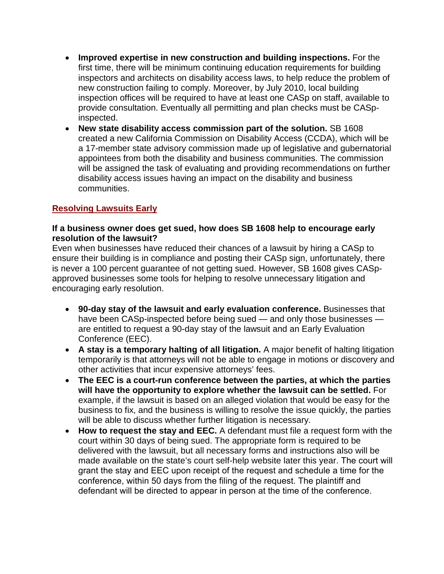- **Improved expertise in new construction and building inspections.** For the first time, there will be minimum continuing education requirements for building inspectors and architects on disability access laws, to help reduce the problem of new construction failing to comply. Moreover, by July 2010, local building inspection offices will be required to have at least one CASp on staff, available to provide consultation. Eventually all permitting and plan checks must be CASpinspected.
- **New state disability access commission part of the solution.** SB 1608 created a new California Commission on Disability Access (CCDA), which will be a 17-member state advisory commission made up of legislative and gubernatorial appointees from both the disability and business communities. The commission will be assigned the task of evaluating and providing recommendations on further disability access issues having an impact on the disability and business communities.

## **Resolving Lawsuits Early**

#### **If a business owner does get sued, how does SB 1608 help to encourage early resolution of the lawsuit?**

Even when businesses have reduced their chances of a lawsuit by hiring a CASp to ensure their building is in compliance and posting their CASp sign, unfortunately, there is never a 100 percent guarantee of not getting sued. However, SB 1608 gives CASpapproved businesses some tools for helping to resolve unnecessary litigation and encouraging early resolution.

- **90-day stay of the lawsuit and early evaluation conference.** Businesses that have been CASp-inspected before being sued — and only those businesses are entitled to request a 90-day stay of the lawsuit and an Early Evaluation Conference (EEC).
- **A stay is a temporary halting of all litigation.** A major benefit of halting litigation temporarily is that attorneys will not be able to engage in motions or discovery and other activities that incur expensive attorneys' fees.
- **The EEC is a court-run conference between the parties, at which the parties will have the opportunity to explore whether the lawsuit can be settled.** For example, if the lawsuit is based on an alleged violation that would be easy for the business to fix, and the business is willing to resolve the issue quickly, the parties will be able to discuss whether further litigation is necessary.
- **How to request the stay and EEC.** A defendant must file a request form with the court within 30 days of being sued. The appropriate form is required to be delivered with the lawsuit, but all necessary forms and instructions also will be made available on the state's court self-help website later this year. The court will grant the stay and EEC upon receipt of the request and schedule a time for the conference, within 50 days from the filing of the request. The plaintiff and defendant will be directed to appear in person at the time of the conference.